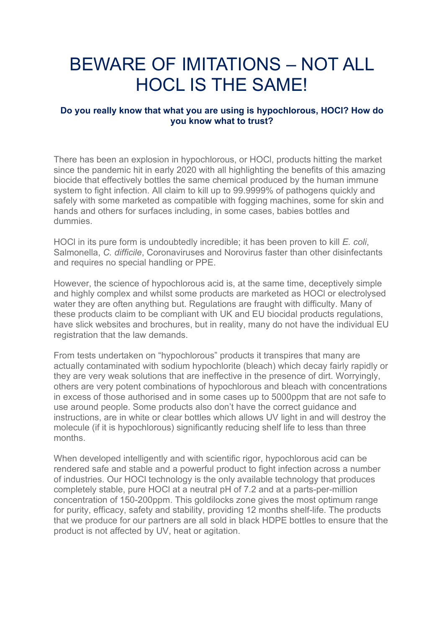## BEWARE OF IMITATIONS – NOT ALL HOCL IS THE SAME!

## **Do you really know that what you are using is hypochlorous, HOCl? How do you know what to trust?**

There has been an explosion in hypochlorous, or HOCl, products hitting the market since the pandemic hit in early 2020 with all highlighting the benefits of this amazing biocide that effectively bottles the same chemical produced by the human immune system to fight infection. All claim to kill up to 99.9999% of pathogens quickly and safely with some marketed as compatible with fogging machines, some for skin and hands and others for surfaces including, in some cases, babies bottles and dummies.

HOCl in its pure form is undoubtedly incredible; it has been proven to kill *E. coli*, Salmonella, *C. difficile*, Coronaviruses and Norovirus faster than other disinfectants and requires no special handling or PPE.

However, the science of hypochlorous acid is, at the same time, deceptively simple and highly complex and whilst some products are marketed as HOCl or electrolysed water they are often anything but. Regulations are fraught with difficulty. Many of these products claim to be compliant with UK and EU biocidal products regulations, have slick websites and brochures, but in reality, many do not have the individual EU registration that the law demands.

From tests undertaken on "hypochlorous" products it transpires that many are actually contaminated with sodium hypochlorite (bleach) which decay fairly rapidly or they are very weak solutions that are ineffective in the presence of dirt. Worryingly, others are very potent combinations of hypochlorous and bleach with concentrations in excess of those authorised and in some cases up to 5000ppm that are not safe to use around people. Some products also don't have the correct guidance and instructions, are in white or clear bottles which allows UV light in and will destroy the molecule (if it is hypochlorous) significantly reducing shelf life to less than three months.

When developed intelligently and with scientific rigor, hypochlorous acid can be rendered safe and stable and a powerful product to fight infection across a number of industries. Our HOCl technology is the only available technology that produces completely stable, pure HOCl at a neutral pH of 7.2 and at a parts-per-million concentration of 150-200ppm. This goldilocks zone gives the most optimum range for purity, efficacy, safety and stability, providing 12 months shelf-life. The products that we produce for our partners are all sold in black HDPE bottles to ensure that the product is not affected by UV, heat or agitation.